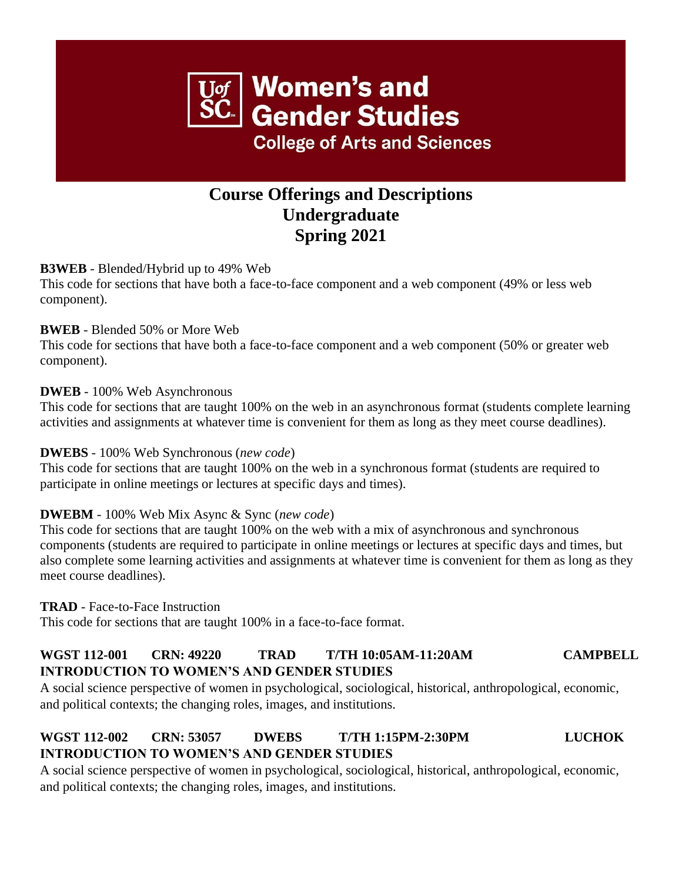# **Women's and Gender Studies College of Arts and Sciences**

# **Course Offerings and Descriptions Undergraduate Spring 2021**

# **B3WEB** - Blended/Hybrid up to 49% Web

This code for sections that have both a face-to-face component and a web component (49% or less web component).

# **BWEB** - Blended 50% or More Web

This code for sections that have both a face-to-face component and a web component (50% or greater web component).

# **DWEB** - 100% Web Asynchronous

This code for sections that are taught 100% on the web in an asynchronous format (students complete learning activities and assignments at whatever time is convenient for them as long as they meet course deadlines).

# **DWEBS** - 100% Web Synchronous (*new code*)

This code for sections that are taught 100% on the web in a synchronous format (students are required to participate in online meetings or lectures at specific days and times).

# **DWEBM** - 100% Web Mix Async & Sync (*new code*)

This code for sections that are taught 100% on the web with a mix of asynchronous and synchronous components (students are required to participate in online meetings or lectures at specific days and times, but also complete some learning activities and assignments at whatever time is convenient for them as long as they meet course deadlines).

# **TRAD** - Face-to-Face Instruction

This code for sections that are taught 100% in a face-to-face format.

# **WGST 112-001 CRN: 49220 TRAD T/TH 10:05AM-11:20AM CAMPBELL INTRODUCTION TO WOMEN'S AND GENDER STUDIES**

A social science perspective of women in psychological, sociological, historical, anthropological, economic, and political contexts; the changing roles, images, and institutions.

# **WGST 112-002 CRN: 53057 DWEBS T/TH 1:15PM-2:30PM LUCHOK INTRODUCTION TO WOMEN'S AND GENDER STUDIES**

A social science perspective of women in psychological, sociological, historical, anthropological, economic, and political contexts; the changing roles, images, and institutions.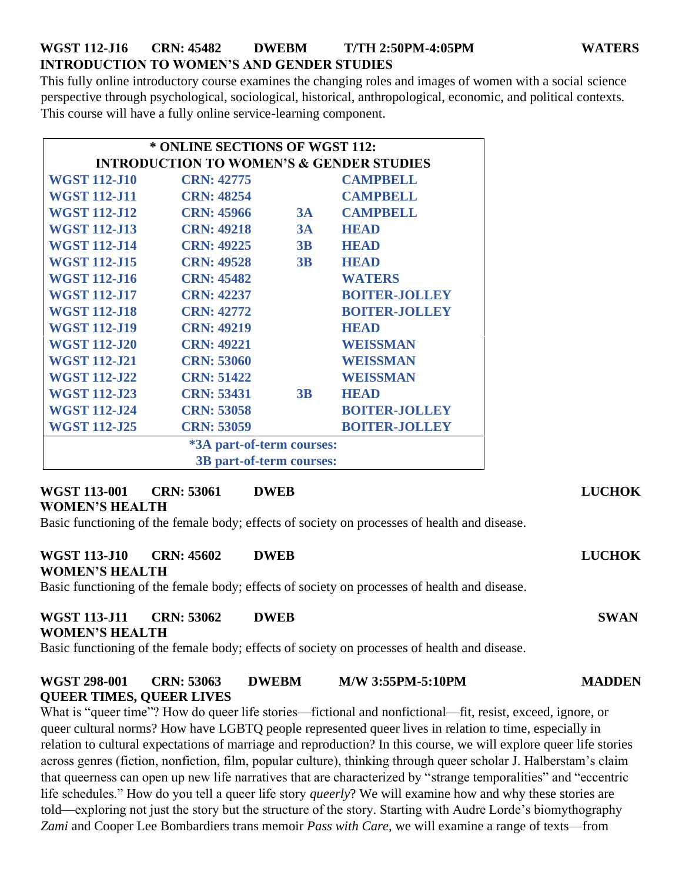# **WGST 112-J16 CRN: 45482 DWEBM T/TH 2:50PM-4:05PM WATERS INTRODUCTION TO WOMEN'S AND GENDER STUDIES**

This fully online introductory course examines the changing roles and images of women with a social science perspective through psychological, sociological, historical, anthropological, economic, and political contexts. This course will have a fully online service-learning component.

| * ONLINE SECTIONS OF WGST 112:                      |                   |    |                      |
|-----------------------------------------------------|-------------------|----|----------------------|
| <b>INTRODUCTION TO WOMEN'S &amp; GENDER STUDIES</b> |                   |    |                      |
| <b>WGST 112-J10</b>                                 | <b>CRN: 42775</b> |    | <b>CAMPBELL</b>      |
| <b>WGST 112-J11</b>                                 | <b>CRN: 48254</b> |    | <b>CAMPBELL</b>      |
| <b>WGST 112-J12</b>                                 | <b>CRN: 45966</b> | 3A | <b>CAMPBELL</b>      |
| <b>WGST 112-J13</b>                                 | <b>CRN: 49218</b> | 3A | <b>HEAD</b>          |
| <b>WGST 112-J14</b>                                 | <b>CRN: 49225</b> | 3B | <b>HEAD</b>          |
| <b>WGST 112-J15</b>                                 | <b>CRN: 49528</b> | 3B | <b>HEAD</b>          |
| <b>WGST 112-J16</b>                                 | <b>CRN: 45482</b> |    | <b>WATERS</b>        |
| <b>WGST 112-J17</b>                                 | <b>CRN: 42237</b> |    | <b>BOITER-JOLLEY</b> |
| <b>WGST 112-J18</b>                                 | <b>CRN: 42772</b> |    | <b>BOITER-JOLLEY</b> |
| <b>WGST 112-J19</b>                                 | <b>CRN: 49219</b> |    | <b>HEAD</b>          |
| <b>WGST 112-J20</b>                                 | <b>CRN: 49221</b> |    | <b>WEISSMAN</b>      |
| <b>WGST 112-J21</b>                                 | <b>CRN: 53060</b> |    | WEISSMAN             |
| <b>WGST 112-J22</b>                                 | <b>CRN: 51422</b> |    | WEISSMAN             |
| <b>WGST 112-J23</b>                                 | <b>CRN: 53431</b> | 3B | <b>HEAD</b>          |
| <b>WGST 112-J24</b>                                 | <b>CRN: 53058</b> |    | <b>BOITER-JOLLEY</b> |
| <b>WGST 112-J25</b>                                 | <b>CRN: 53059</b> |    | <b>BOITER-JOLLEY</b> |
| *3A part-of-term courses:                           |                   |    |                      |
| 3B part-of-term courses:                            |                   |    |                      |

# **WGST 113-001 CRN: 53061 DWEB LUCHOK WOMEN'S HEALTH**

Basic functioning of the female body; effects of society on processes of health and disease.

### **WGST 113-J10 CRN: 45602 DWEB LUCHOK WOMEN'S HEALTH**

Basic functioning of the female body; effects of society on processes of health and disease.

# **WGST 113-J11 CRN: 53062 DWEB SWAN**

# **WOMEN'S HEALTH**

Basic functioning of the female body; effects of society on processes of health and disease.

# **WGST 298-001 CRN: 53063 DWEBM M/W 3:55PM-5:10PM MADDEN QUEER TIMES, QUEER LIVES**

What is "queer time"? How do queer life stories—fictional and nonfictional—fit, resist, exceed, ignore, or queer cultural norms? How have LGBTQ people represented queer lives in relation to time, especially in relation to cultural expectations of marriage and reproduction? In this course, we will explore queer life stories across genres (fiction, nonfiction, film, popular culture), thinking through queer scholar J. Halberstam's claim that queerness can open up new life narratives that are characterized by "strange temporalities" and "eccentric life schedules." How do you tell a queer life story *queerly*? We will examine how and why these stories are told—exploring not just the story but the structure of the story. Starting with Audre Lorde's biomythography *Zami* and Cooper Lee Bombardiers trans memoir *Pass with Care*, we will examine a range of texts—from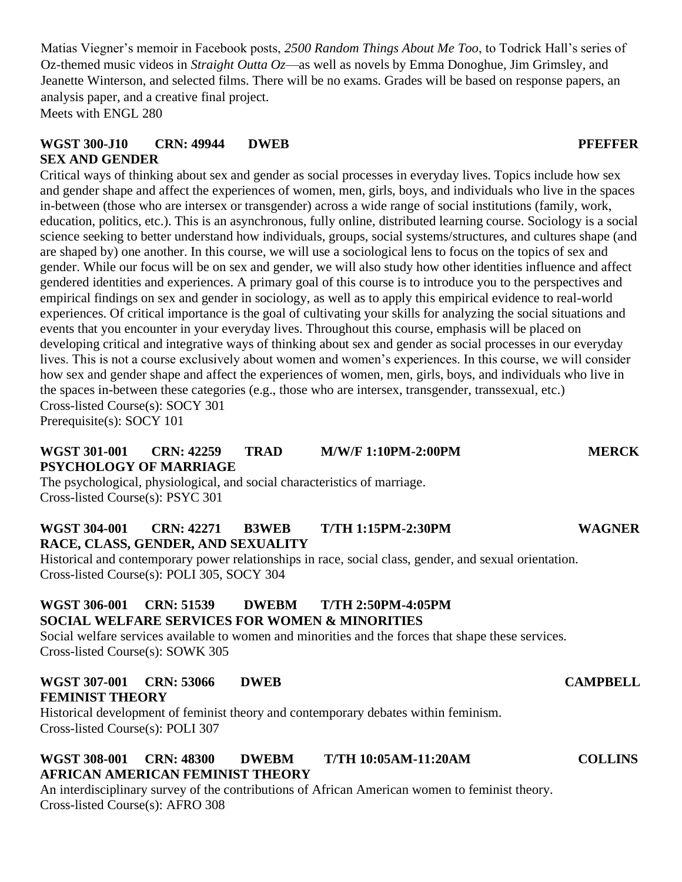Matias Viegner's memoir in Facebook posts, *2500 Random Things About Me Too*, to Todrick Hall's series of Oz-themed music videos in *Straight Outta Oz*—as well as novels by Emma Donoghue, Jim Grimsley, and Jeanette Winterson, and selected films. There will be no exams. Grades will be based on response papers, an analysis paper, and a creative final project. Meets with ENGL 280

# **WGST 300-J10 CRN: 49944 DWEB PFEFFER SEX AND GENDER**

Critical ways of thinking about sex and gender as social processes in everyday lives. Topics include how sex and gender shape and affect the experiences of women, men, girls, boys, and individuals who live in the spaces in-between (those who are intersex or transgender) across a wide range of social institutions (family, work, education, politics, etc.). This is an asynchronous, fully online, distributed learning course. Sociology is a social science seeking to better understand how individuals, groups, social systems/structures, and cultures shape (and are shaped by) one another. In this course, we will use a sociological lens to focus on the topics of sex and gender. While our focus will be on sex and gender, we will also study how other identities influence and affect gendered identities and experiences. A primary goal of this course is to introduce you to the perspectives and empirical findings on sex and gender in sociology, as well as to apply this empirical evidence to real-world experiences. Of critical importance is the goal of cultivating your skills for analyzing the social situations and events that you encounter in your everyday lives. Throughout this course, emphasis will be placed on developing critical and integrative ways of thinking about sex and gender as social processes in our everyday lives. This is not a course exclusively about women and women's experiences. In this course, we will consider how sex and gender shape and affect the experiences of women, men, girls, boys, and individuals who live in the spaces in-between these categories (e.g., those who are intersex, transgender, transsexual, etc.) Cross-listed Course(s): SOCY 301

Prerequisite(s): SOCY 101

### **WGST 301-001 CRN: 42259 TRAD M/W/F 1:10PM-2:00PM MERCK PSYCHOLOGY OF MARRIAGE**

The psychological, physiological, and social characteristics of marriage. Cross-listed Course(s): PSYC 301

### **WGST 304-001 CRN: 42271 B3WEB T/TH 1:15PM-2:30PM WAGNER RACE, CLASS, GENDER, AND SEXUALITY**

Historical and contemporary power relationships in race, social class, gender, and sexual orientation. Cross-listed Course(s): POLI 305, SOCY 304

# **WGST 306-001 CRN: 51539 DWEBM T/TH 2:50PM-4:05PM SOCIAL WELFARE SERVICES FOR WOMEN & MINORITIES**

Social welfare services available to women and minorities and the forces that shape these services. Cross-listed Course(s): SOWK 305

### **WGST 307-001 CRN: 53066 DWEB CAMPBELL FEMINIST THEORY**

Historical development of feminist theory and contemporary debates within feminism. Cross-listed Course(s): POLI 307

# **WGST 308-001 CRN: 48300 DWEBM T/TH 10:05AM-11:20AM COLLINS AFRICAN AMERICAN FEMINIST THEORY**

An interdisciplinary survey of the contributions of African American women to feminist theory. Cross-listed Course(s): AFRO 308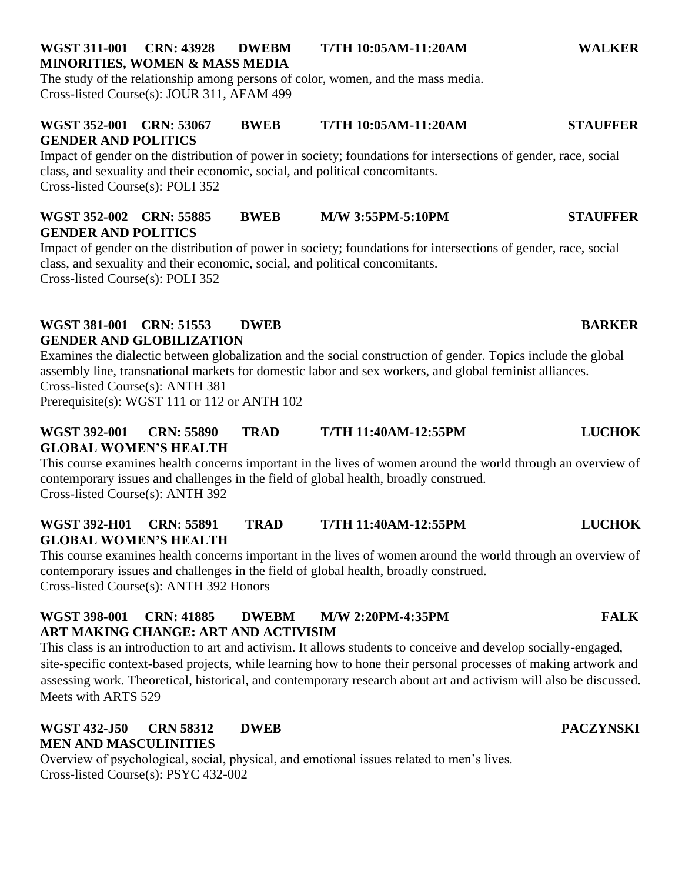# **WGST 311-001 CRN: 43928 DWEBM T/TH 10:05AM-11:20AM WALKER MINORITIES, WOMEN & MASS MEDIA**

The study of the relationship among persons of color, women, and the mass media. Cross-listed Course(s): JOUR 311, AFAM 499

# **WGST 352-001 CRN: 53067 BWEB T/TH 10:05AM-11:20AM STAUFFER GENDER AND POLITICS**

Impact of gender on the distribution of power in society; foundations for intersections of gender, race, social class, and sexuality and their economic, social, and political concomitants. Cross-listed Course(s): POLI 352

# **WGST 352-002 CRN: 55885 BWEB M/W 3:55PM-5:10PM STAUFFER GENDER AND POLITICS**

Impact of gender on the distribution of power in society; foundations for intersections of gender, race, social class, and sexuality and their economic, social, and political concomitants. Cross-listed Course(s): POLI 352

# **WGST 381-001 CRN: 51553 DWEB BARKER GENDER AND GLOBILIZATION**

Examines the dialectic between globalization and the social construction of gender. Topics include the global assembly line, transnational markets for domestic labor and sex workers, and global feminist alliances.

Cross-listed Course(s): ANTH 381

Prerequisite(s): WGST 111 or 112 or ANTH 102

# **WGST 392-001 CRN: 55890 TRAD T/TH 11:40AM-12:55PM LUCHOK GLOBAL WOMEN'S HEALTH**

This course examines health concerns important in the lives of women around the world through an overview of contemporary issues and challenges in the field of global health, broadly construed. Cross-listed Course(s): ANTH 392

# **WGST 392-H01 CRN: 55891 TRAD T/TH 11:40AM-12:55PM LUCHOK GLOBAL WOMEN'S HEALTH**

This course examines health concerns important in the lives of women around the world through an overview of contemporary issues and challenges in the field of global health, broadly construed. Cross-listed Course(s): ANTH 392 Honors

# **WGST 398-001 CRN: 41885 DWEBM M/W 2:20PM-4:35PM FALK ART MAKING CHANGE: ART AND ACTIVISIM**

This class is an introduction to art and activism. It allows students to conceive and develop socially-engaged, site-specific context-based projects, while learning how to hone their personal processes of making artwork and assessing work. Theoretical, historical, and contemporary research about art and activism will also be discussed. Meets with ARTS 529

# **WGST 432-J50 CRN 58312 DWEB PACZYNSKI MEN AND MASCULINITIES**

Overview of psychological, social, physical, and emotional issues related to men's lives. Cross-listed Course(s): PSYC 432-002